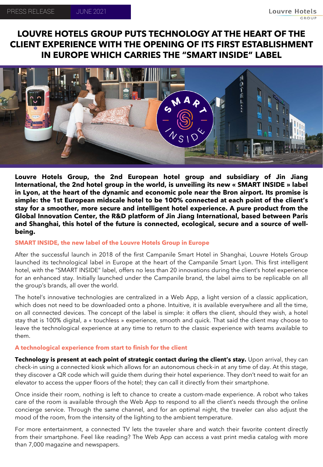# **LOUVRE HOTELS GROUP PUTS TECHNOLOGY AT THE HEART OF THE CLIENT EXPERIENCE WITH THE OPENING OF ITS FIRST ESTABLISHMENT IN EUROPE WHICH CARRIES THE "SMART INSIDE" LABEL**



**Louvre Hotels Group, the 2nd European hotel group and subsidiary of Jin Jiang International, the 2nd hotel group in the world, is unveiling its new « SMART INSIDE » label in Lyon, at the heart of the dynamic and economic pole near the Bron airport. Its promise is simple: the 1st European midscale hotel to be 100% connected at each point of the client's stay for a smoother, more secure and intelligent hotel experience. A pure product from the Global Innovation Center, the R&D platform of Jin Jiang International, based between Paris and Shanghai, this hotel of the future is connected, ecological, secure and a source of wellbeing.**

## **SMART INSIDE, the new label of the Louvre Hotels Group in Europe**

After the successful launch in 2018 of the first Campanile Smart Hotel in Shanghai, Louvre Hotels Group launched its technological label in Europe at the heart of the Campanile Smart Lyon. This first intelligent hotel, with the "SMART INSIDE" label, offers no less than 20 innovations during the client's hotel experience for an enhanced stay. Initially launched under the Campanile brand, the label aims to be replicable on all the group's brands, all over the world.

The hotel's innovative technologies are centralized in a Web App, a light version of a classic application, which does not need to be downloaded onto a phone. Intuitive, it is available everywhere and all the time, on all connected devices. The concept of the label is simple: it offers the client, should they wish, a hotel stay that is 100% digital, a « touchless » experience, smooth and quick. That said the client may choose to leave the technological experience at any time to return to the classic experience with teams available to them.

# **A technological experience from start to finish for the client**

**Technology is present at each point of strategic contact during the client's stay.** Upon arrival, they can check-in using a connected kiosk which allows for an autonomous check-in at any time of day. At this stage, they discover a QR code which will guide them during their hotel experience. They don't need to wait for an elevator to access the upper floors of the hotel; they can call it directly from their smartphone.

Once inside their room, nothing is left to chance to create a custom-made experience. A robot who takes care of the room is available through the Web App to respond to all the client's needs through the online concierge service. Through the same channel, and for an optimal night, the traveler can also adjust the mood of the room, from the intensity of the lighting to the ambient temperature.

For more entertainment, a connected TV lets the traveler share and watch their favorite content directly from their smartphone. Feel like reading? The Web App can access a vast print media catalog with more than 7,000 magazine and newspapers.